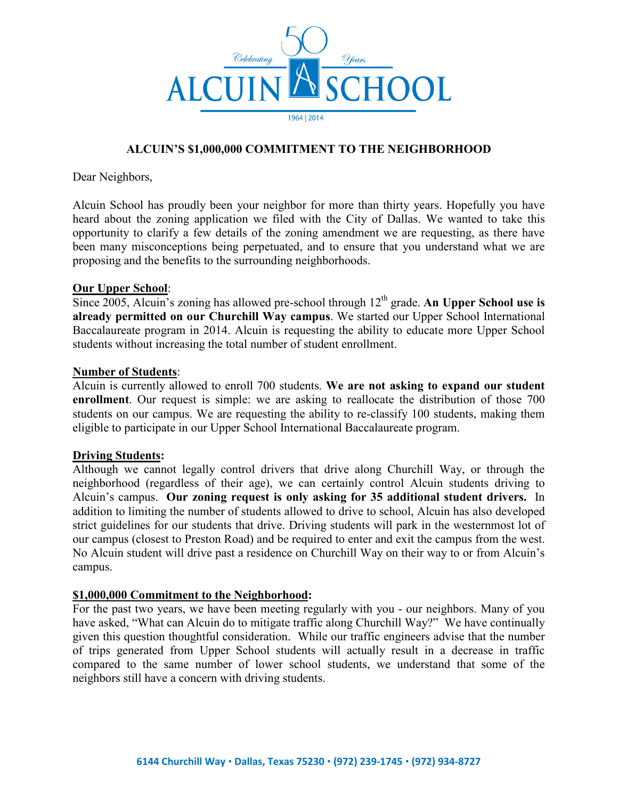

# **ALCUIN'S \$1,000,000 COMMITMENT TO THE NEIGHBORHOOD**

Dear Neighbors,

Alcuin School has proudly been your neighbor for more than thirty years. Hopefully you have heard about the zoning application we filed with the City of Dallas. We wanted to take this opportunity to clarify a few details of the zoning amendment we are requesting, as there have been many misconceptions being perpetuated, and to ensure that you understand what we are proposing and the benefits to the surrounding neighborhoods.

## **Our Upper School**:

Since 2005, Alcuin's zoning has allowed pre-school through 12<sup>th</sup> grade. An Upper School use is **already permitted on our Churchill Way campus**. We started our Upper School International Baccalaureate program in 2014. Alcuin is requesting the ability to educate more Upper School students without increasing the total number of student enrollment.

### **Number of Students**:

Alcuin is currently allowed to enroll 700 students. **We are not asking to expand our student enrollment**. Our request is simple: we are asking to reallocate the distribution of those 700 students on our campus. We are requesting the ability to re-classify 100 students, making them eligible to participate in our Upper School International Baccalaureate program.

### **Driving Students:**

Although we cannot legally control drivers that drive along Churchill Way, or through the neighborhood (regardless of their age), we can certainly control Alcuin students driving to Alcuin's campus. **Our zoning request is only asking for 35 additional student drivers.** In addition to limiting the number of students allowed to drive to school, Alcuin has also developed strict guidelines for our students that drive. Driving students will park in the westernmost lot of our campus (closest to Preston Road) and be required to enter and exit the campus from the west. No Alcuin student will drive past a residence on Churchill Way on their way to or from Alcuin's campus.

### **\$1,000,000 Commitment to the Neighborhood:**

For the past two years, we have been meeting regularly with you - our neighbors. Many of you have asked, "What can Alcuin do to mitigate traffic along Churchill Way?" We have continually given this question thoughtful consideration. While our traffic engineers advise that the number of trips generated from Upper School students will actually result in a decrease in traffic compared to the same number of lower school students, we understand that some of the neighbors still have a concern with driving students.